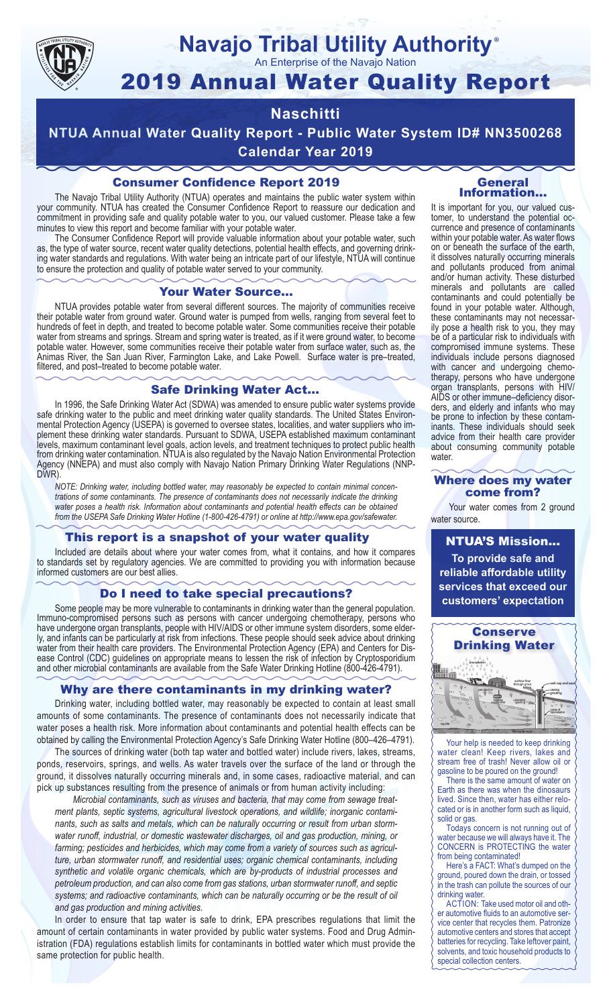

## **Navajo Tribal Utility Authority** ®

An Enterprise of the Navajo Nation

# 2019 Annual Water Quality Report

# **Naschitti**

**NTUA Annual Water Quality Report - Public Water System ID# NN3500268 Calendar Year 2019**

## Consumer Confidence Report 2019

The Navajo Tribal Utility Authority (NTUA) operates and maintains the public water system within your community. NTUA has created the Consumer Confidence Report to reassure our dedication and commitment in providing safe and quality potable water to you, our valued customer. Please take a few minutes to view this report and become familiar with your potable water.

The Consumer Confidence Report will provide valuable information about your potable water, such as, the type of water source, recent water quality detections, potential health effects, and governing drinking water standards and regulations. With water being an intricate part of our lifestyle, NTUA will continue to ensure the protection and quality of potable water served to your community.

#### Your Water Source…

NTUA provides potable water from several different sources. The majority of communities receive their potable water from ground water. Ground water is pumped from wells, ranging from several feet to hundreds of feet in depth, and treated to become potable water. Some communities receive their potable water from streams and springs. Stream and spring water is treated, as if it were ground water, to become potable water. However, some communities receive their potable water from surface water, such as, the Animas River, the San Juan River, Farmington Lake, and Lake Powell. Surface water is pre–treated, filtered, and post–treated to become potable water.

#### Safe Drinking Water Act…

In 1996, the Safe Drinking Water Act (SDWA) was amended to ensure public water systems provide safe drinking water to the public and meet drinking water quality standards. The United States Environmental Protection Agency (USEPA) is governed to oversee states, localities, and water suppliers who implement these drinking water standards. Pursuant to SDWA, USEPA established maximum contaminant levels, maximum contaminant level goals, action levels, and treatment techniques to protect public health from drinking water contamination. NTUA is also regulated by the Navajo Nation Environmental Protection Agency (NNEPA) and must also comply with Navajo Nation Primary Drinking Water Regulations (NNP-DWR)

*NOTE: Drinking water, including bottled water, may reasonably be expected to contain minimal concentrations of some contaminants. The presence of contaminants does not necessarily indicate the drinking water poses a health risk. Information about contaminants and potential health effects can be obtained from the USEPA Safe Drinking Water Hotline (1-800-426-4791) or online at http://www.epa.gov/safewater.*

## This report is a snapshot of your water quality

Included are details about where your water comes from, what it contains, and how it compares to standards set by regulatory agencies. We are committed to providing you with information because informed customers are our best allies.

#### Do I need to take special precautions?

Some people may be more vulnerable to contaminants in drinking water than the general population. Immuno-compromised persons such as persons with cancer undergoing chemotherapy, persons who have undergone organ transplants, people with HIV/AIDS or other immune system disorders, some elderly, and infants can be particularly at risk from infections. These people should seek advice about drinking water from their health care providers. The Environmental Protection Agency (EPA) and Centers for Disease Control (CDC) guidelines on appropriate means to lessen the risk of infection by Cryptosporidium and other microbial contaminants are available from the Safe Water Drinking Hotline (800-426-4791).

## Why are there contaminants in my drinking water?

Drinking water, including bottled water, may reasonably be expected to contain at least small amounts of some contaminants. The presence of contaminants does not necessarily indicate that water poses a health risk. More information about contaminants and potential health effects can be obtained by calling the Environmental Protection Agency's Safe Drinking Water Hotline (800–426–4791).

The sources of drinking water (both tap water and bottled water) include rivers, lakes, streams, ponds, reservoirs, springs, and wells. As water travels over the surface of the land or through the ground, it dissolves naturally occurring minerals and, in some cases, radioactive material, and can pick up substances resulting from the presence of animals or from human activity including:

*Microbial contaminants, such as viruses and bacteria, that may come from sewage treatment plants, septic systems, agricultural livestock operations, and wildlife; inorganic contaminants, such as salts and metals, which can be naturally occurring or result from urban stormwater runoff, industrial, or domestic wastewater discharges, oil and gas production, mining, or farming; pesticides and herbicides, which may come from a variety of sources such as agriculture, urban stormwater runoff, and residential uses; organic chemical contaminants, including synthetic and volatile organic chemicals, which are by-products of industrial processes and petroleum production, and can also come from gas stations, urban stormwater runoff, and septic systems; and radioactive contaminants, which can be naturally occurring or be the result of oil and gas production and mining activities.*

In order to ensure that tap water is safe to drink, EPA prescribes regulations that limit the amount of certain contaminants in water provided by public water systems. Food and Drug Administration (FDA) regulations establish limits for contaminants in bottled water which must provide the same protection for public health.

#### General Information…

It is important for you, our valued customer, to understand the potential occurrence and presence of contaminants within your potable water. As water flows on or beneath the surface of the earth, it dissolves naturally occurring minerals and pollutants produced from animal and/or human activity. These disturbed minerals and pollutants are called contaminants and could potentially be found in your potable water. Although, these contaminants may not necessarily pose a health risk to you, they may be of a particular risk to individuals with compromised immune systems. These individuals include persons diagnosed with cancer and undergoing chemo-<br>therapy, persons who have undergone organ transplants, persons with HIV/ AIDS or other immune–deficiency disor- ders, and elderly and infants who may be prone to infection by these contam- inants. These individuals should seek advice from their health care provider about consuming community potable water.

#### Where does my water come from?

Your water comes from 2 ground water source.

NTUA'S Mission... **To provide safe and reliable affordable utility services that exceed our customers' expectation**



Your help is needed to keep drinking water clean! Keep rivers, lakes and stream free of trash! Never allow oil or gasoline to be poured on the ground!

There is the same amount of water on Earth as there was when the dinosaurs lived. Since then, water has either relocated or is in another form such as liquid, solid or gas.

Todays concern is not running out of water because we will always have it. The CONCERN is PROTECTING the water from being contaminated!

Here's a FACT: What's dumped on the ground, poured down the drain, or tossed in the trash can pollute the sources of our drinking water.

ACTION: Take used motor oil and other automotive fluids to an automotive service center that recycles them. Patronize automotive centers and stores that accept batteries for recycling. Take leftover paint, solvents, and toxic household products to special collection centers.